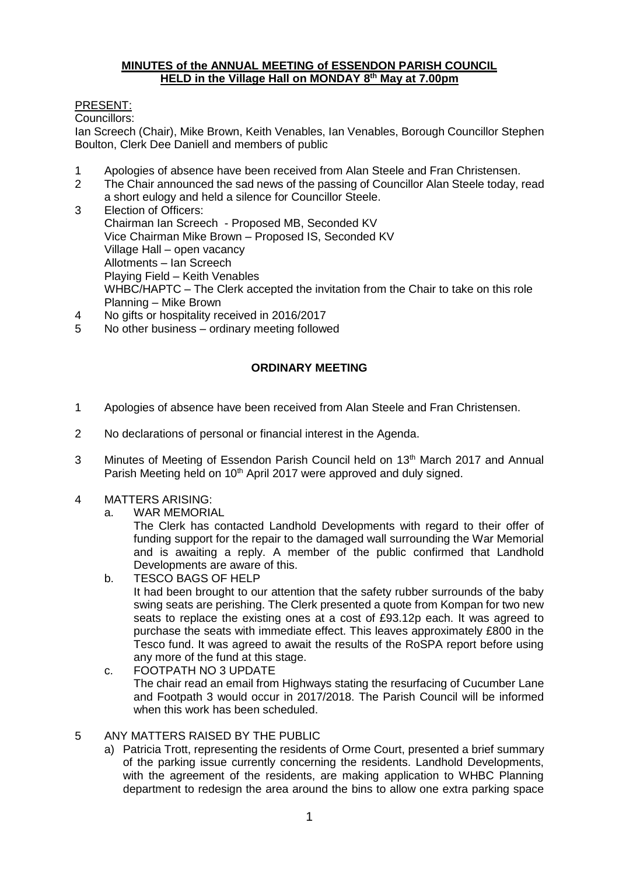## **MINUTES of the ANNUAL MEETING of ESSENDON PARISH COUNCIL HELD in the Village Hall on MONDAY 8 th May at 7.00pm**

## PRESENT:

Councillors:

Ian Screech (Chair), Mike Brown, Keith Venables, Ian Venables, Borough Councillor Stephen Boulton, Clerk Dee Daniell and members of public

- 1 Apologies of absence have been received from Alan Steele and Fran Christensen.
- 2 The Chair announced the sad news of the passing of Councillor Alan Steele today, read a short eulogy and held a silence for Councillor Steele.
- 3 Election of Officers: Chairman Ian Screech - Proposed MB, Seconded KV Vice Chairman Mike Brown – Proposed IS, Seconded KV Village Hall – open vacancy Allotments – Ian Screech Playing Field – Keith Venables WHBC/HAPTC – The Clerk accepted the invitation from the Chair to take on this role Planning – Mike Brown
- 4 No gifts or hospitality received in 2016/2017
- 5 No other business ordinary meeting followed

# **ORDINARY MEETING**

- 1 Apologies of absence have been received from Alan Steele and Fran Christensen.
- 2 No declarations of personal or financial interest in the Agenda.
- 3 Minutes of Meeting of Essendon Parish Council held on 13<sup>th</sup> March 2017 and Annual Parish Meeting held on 10<sup>th</sup> April 2017 were approved and duly signed.
- 4 MATTERS ARISING:
	- a. WAR MEMORIAL

The Clerk has contacted Landhold Developments with regard to their offer of funding support for the repair to the damaged wall surrounding the War Memorial and is awaiting a reply. A member of the public confirmed that Landhold Developments are aware of this.

- b. TESCO BAGS OF HELP It had been brought to our attention that the safety rubber surrounds of the baby swing seats are perishing. The Clerk presented a quote from Kompan for two new seats to replace the existing ones at a cost of £93.12p each. It was agreed to purchase the seats with immediate effect. This leaves approximately £800 in the Tesco fund. It was agreed to await the results of the RoSPA report before using any more of the fund at this stage.
- c. FOOTPATH NO 3 UPDATE The chair read an email from Highways stating the resurfacing of Cucumber Lane and Footpath 3 would occur in 2017/2018. The Parish Council will be informed when this work has been scheduled.
- 5 ANY MATTERS RAISED BY THE PUBLIC
	- a) Patricia Trott, representing the residents of Orme Court, presented a brief summary of the parking issue currently concerning the residents. Landhold Developments, with the agreement of the residents, are making application to WHBC Planning department to redesign the area around the bins to allow one extra parking space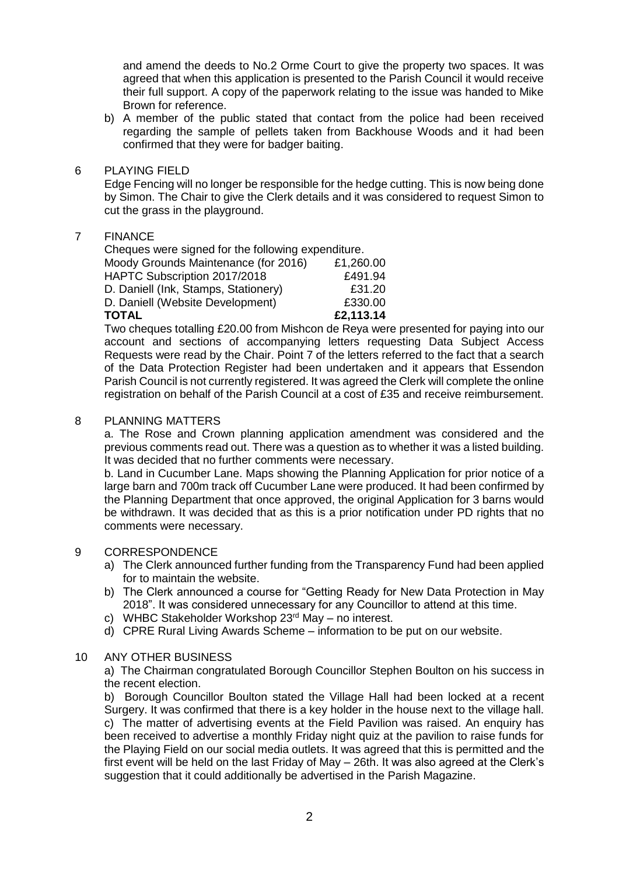and amend the deeds to No.2 Orme Court to give the property two spaces. It was agreed that when this application is presented to the Parish Council it would receive their full support. A copy of the paperwork relating to the issue was handed to Mike Brown for reference.

- b) A member of the public stated that contact from the police had been received regarding the sample of pellets taken from Backhouse Woods and it had been confirmed that they were for badger baiting.
- 6 PLAYING FIELD

Edge Fencing will no longer be responsible for the hedge cutting. This is now being done by Simon. The Chair to give the Clerk details and it was considered to request Simon to cut the grass in the playground.

## 7 FINANCE

Cheques were signed for the following expenditure. Moody Grounds Maintenance (for 2016) £1,260.00 HAPTC Subscription 2017/2018 D. Daniell (Ink, Stamps, Stationery) £31.20 D. Daniell (Website Development) £330.00 **TOTAL £2,113.14**

Two cheques totalling £20.00 from Mishcon de Reya were presented for paying into our account and sections of accompanying letters requesting Data Subject Access Requests were read by the Chair. Point 7 of the letters referred to the fact that a search of the Data Protection Register had been undertaken and it appears that Essendon Parish Council is not currently registered. It was agreed the Clerk will complete the online registration on behalf of the Parish Council at a cost of £35 and receive reimbursement.

#### 8 PLANNING MATTERS

a. The Rose and Crown planning application amendment was considered and the previous comments read out. There was a question as to whether it was a listed building. It was decided that no further comments were necessary.

b. Land in Cucumber Lane. Maps showing the Planning Application for prior notice of a large barn and 700m track off Cucumber Lane were produced. It had been confirmed by the Planning Department that once approved, the original Application for 3 barns would be withdrawn. It was decided that as this is a prior notification under PD rights that no comments were necessary.

#### 9 CORRESPONDENCE

- a) The Clerk announced further funding from the Transparency Fund had been applied for to maintain the website.
- b) The Clerk announced a course for "Getting Ready for New Data Protection in May 2018". It was considered unnecessary for any Councillor to attend at this time.
- c) WHBC Stakeholder Workshop 23rd May no interest.
- d) CPRE Rural Living Awards Scheme information to be put on our website.

## 10 ANY OTHER BUSINESS

a) The Chairman congratulated Borough Councillor Stephen Boulton on his success in the recent election.

b) Borough Councillor Boulton stated the Village Hall had been locked at a recent Surgery. It was confirmed that there is a key holder in the house next to the village hall. c) The matter of advertising events at the Field Pavilion was raised. An enquiry has been received to advertise a monthly Friday night quiz at the pavilion to raise funds for the Playing Field on our social media outlets. It was agreed that this is permitted and the first event will be held on the last Friday of May – 26th. It was also agreed at the Clerk's suggestion that it could additionally be advertised in the Parish Magazine.